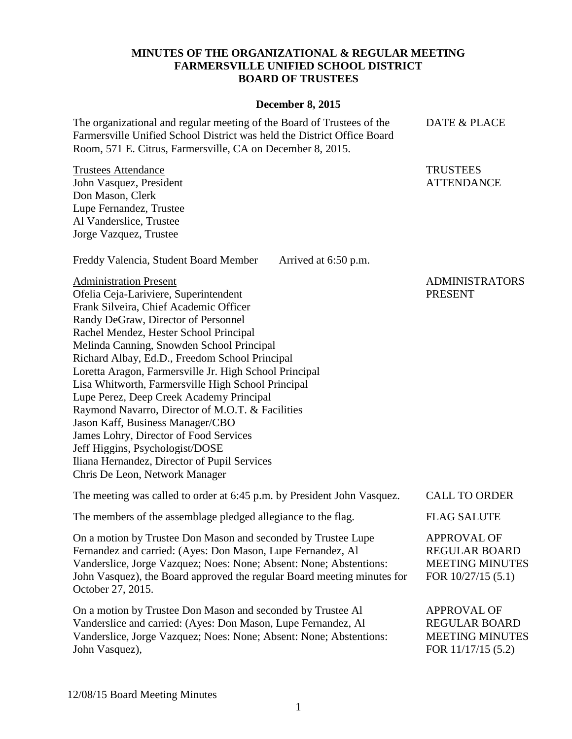# **MINUTES OF THE ORGANIZATIONAL & REGULAR MEETING FARMERSVILLE UNIFIED SCHOOL DISTRICT BOARD OF TRUSTEES**

### **December 8, 2015**

The organizational and regular meeting of the Board of Trustees of the Farmersville Unified School District was held the District Office Board Room, 571 E. Citrus, Farmersville, CA on December 8, 2015.

Trustees Attendance John Vasquez, President Don Mason, Clerk Lupe Fernandez, Trustee Al Vanderslice, Trustee Jorge Vazquez, Trustee

Freddy Valencia, Student Board Member Arrived at 6:50 p.m.

Administration Present Ofelia Ceja-Lariviere, Superintendent Frank Silveira, Chief Academic Officer Randy DeGraw, Director of Personnel Rachel Mendez, Hester School Principal Melinda Canning, Snowden School Principal Richard Albay, Ed.D., Freedom School Principal Loretta Aragon, Farmersville Jr. High School Principal Lisa Whitworth, Farmersville High School Principal Lupe Perez, Deep Creek Academy Principal Raymond Navarro, Director of M.O.T. & Facilities Jason Kaff, Business Manager/CBO James Lohry, Director of Food Services Jeff Higgins, Psychologist/DOSE Iliana Hernandez, Director of Pupil Services Chris De Leon, Network Manager

The meeting was called to order at 6:45 p.m. by President John Vasquez. CALL TO ORDER The members of the assemblage pledged allegiance to the flag. FLAG SALUTE

On a motion by Trustee Don Mason and seconded by Trustee Lupe Fernandez and carried: (Ayes: Don Mason, Lupe Fernandez, Al Vanderslice, Jorge Vazquez; Noes: None; Absent: None; Abstentions: John Vasquez), the Board approved the regular Board meeting minutes for October 27, 2015.

On a motion by Trustee Don Mason and seconded by Trustee Al Vanderslice and carried: (Ayes: Don Mason, Lupe Fernandez, Al Vanderslice, Jorge Vazquez; Noes: None; Absent: None; Abstentions: John Vasquez),

# ADMINISTRATORS PRESENT

# DATE & PLACE

**TRUSTEES** ATTENDANCE

APPROVAL OF REGULAR BOARD MEETING MINUTES

APPROVAL OF REGULAR BOARD MEETING MINUTES FOR 10/27/15 (5.1)

FOR 11/17/15 (5.2)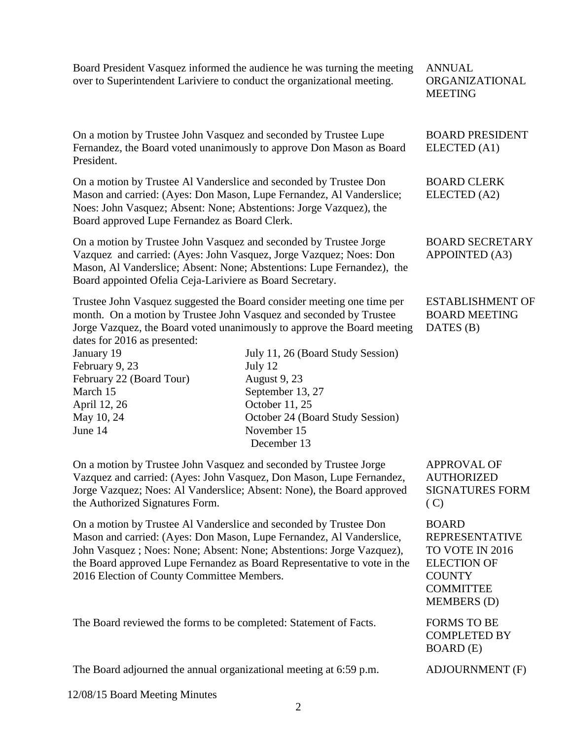Board President Vasquez informed the audience he was turning the meeting over to Superintendent Lariviere to conduct the organizational meeting.

ANNUAL ORGANIZATIONAL MEETING

BOARD PRESIDENT

BOARD SECRETARY APPOINTED (A3)

ESTABLISHMENT OF BOARD MEETING

DATES (B)

ELECTED (A1)

BOARD CLERK ELECTED (A2)

On a motion by Trustee John Vasquez and seconded by Trustee Lupe Fernandez, the Board voted unanimously to approve Don Mason as Board President.

On a motion by Trustee Al Vanderslice and seconded by Trustee Don Mason and carried: (Ayes: Don Mason, Lupe Fernandez, Al Vanderslice; Noes: John Vasquez; Absent: None; Abstentions: Jorge Vazquez), the Board approved Lupe Fernandez as Board Clerk.

On a motion by Trustee John Vasquez and seconded by Trustee Jorge Vazquez and carried: (Ayes: John Vasquez, Jorge Vazquez; Noes: Don Mason, Al Vanderslice; Absent: None; Abstentions: Lupe Fernandez), the Board appointed Ofelia Ceja-Lariviere as Board Secretary.

Trustee John Vasquez suggested the Board consider meeting one time per month. On a motion by Trustee John Vasquez and seconded by Trustee Jorge Vazquez, the Board voted unanimously to approve the Board meeting dates for 2016 as presented:

February 9, 23 July 12

March 15 September 13, 27 April 12, 26 **October 11**, 25 June 14 November 15

January 19 July 11, 26 (Board Study Session) February 22 (Board Tour) August 9, 23 May 10, 24 October 24 (Board Study Session) December 13

On a motion by Trustee John Vasquez and seconded by Trustee Jorge Vazquez and carried: (Ayes: John Vasquez, Don Mason, Lupe Fernandez, Jorge Vazquez; Noes: Al Vanderslice; Absent: None), the Board approved the Authorized Signatures Form.

On a motion by Trustee Al Vanderslice and seconded by Trustee Don Mason and carried: (Ayes: Don Mason, Lupe Fernandez, Al Vanderslice, John Vasquez ; Noes: None; Absent: None; Abstentions: Jorge Vazquez), the Board approved Lupe Fernandez as Board Representative to vote in the 2016 Election of County Committee Members.

The Board reviewed the forms to be completed: Statement of Facts. FORMS TO BE

The Board adjourned the annual organizational meeting at 6:59 p.m. ADJOURNMENT (F)

12/08/15 Board Meeting Minutes

APPROVAL OF AUTHORIZED SIGNATURES FORM  $(C)$ 

BOARD REPRESENTATIVE TO VOTE IN 2016 ELECTION OF **COUNTY** COMMITTEE MEMBERS (D)

COMPLETED BY BOARD (E)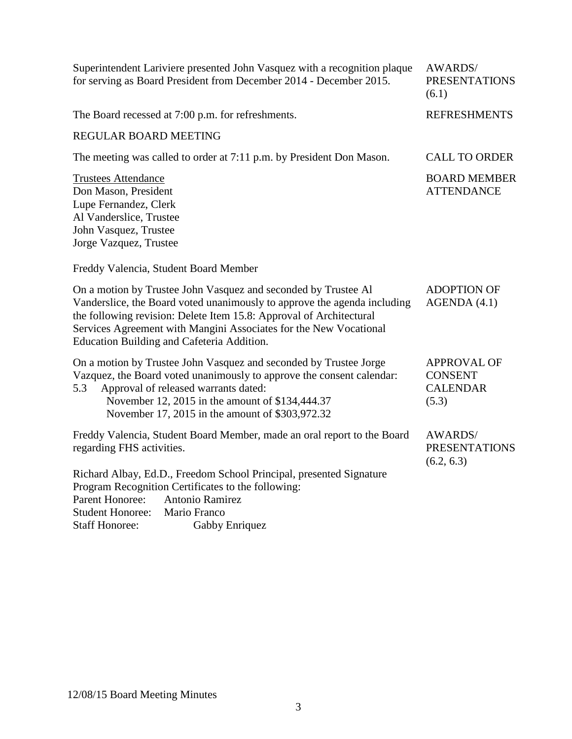| Superintendent Lariviere presented John Vasquez with a recognition plaque<br>for serving as Board President from December 2014 - December 2015.                                                                                                                                                                                      | <b>AWARDS/</b><br><b>PRESENTATIONS</b><br>(6.1)                  |
|--------------------------------------------------------------------------------------------------------------------------------------------------------------------------------------------------------------------------------------------------------------------------------------------------------------------------------------|------------------------------------------------------------------|
| The Board recessed at 7:00 p.m. for refreshments.                                                                                                                                                                                                                                                                                    | <b>REFRESHMENTS</b>                                              |
| <b>REGULAR BOARD MEETING</b>                                                                                                                                                                                                                                                                                                         |                                                                  |
| The meeting was called to order at 7:11 p.m. by President Don Mason.                                                                                                                                                                                                                                                                 | <b>CALL TO ORDER</b>                                             |
| <b>Trustees Attendance</b><br>Don Mason, President<br>Lupe Fernandez, Clerk<br>Al Vanderslice, Trustee<br>John Vasquez, Trustee<br>Jorge Vazquez, Trustee                                                                                                                                                                            | <b>BOARD MEMBER</b><br><b>ATTENDANCE</b>                         |
| Freddy Valencia, Student Board Member                                                                                                                                                                                                                                                                                                |                                                                  |
| On a motion by Trustee John Vasquez and seconded by Trustee Al<br>Vanderslice, the Board voted unanimously to approve the agenda including<br>the following revision: Delete Item 15.8: Approval of Architectural<br>Services Agreement with Mangini Associates for the New Vocational<br>Education Building and Cafeteria Addition. | <b>ADOPTION OF</b><br>AGENDA(4.1)                                |
| On a motion by Trustee John Vasquez and seconded by Trustee Jorge<br>Vazquez, the Board voted unanimously to approve the consent calendar:<br>Approval of released warrants dated:<br>5.3<br>November 12, 2015 in the amount of \$134,444.37<br>November 17, 2015 in the amount of \$303,972.32                                      | <b>APPROVAL OF</b><br><b>CONSENT</b><br><b>CALENDAR</b><br>(5.3) |
| Freddy Valencia, Student Board Member, made an oral report to the Board<br>regarding FHS activities.                                                                                                                                                                                                                                 | <b>AWARDS/</b><br><b>PRESENTATIONS</b><br>(6.2, 6.3)             |
| Richard Albay, Ed.D., Freedom School Principal, presented Signature<br>Program Recognition Certificates to the following:<br><b>Parent Honoree:</b><br>Antonio Ramirez<br><b>Student Honoree:</b><br>Mario Franco<br><b>Staff Honoree:</b><br>Gabby Enriquez                                                                         |                                                                  |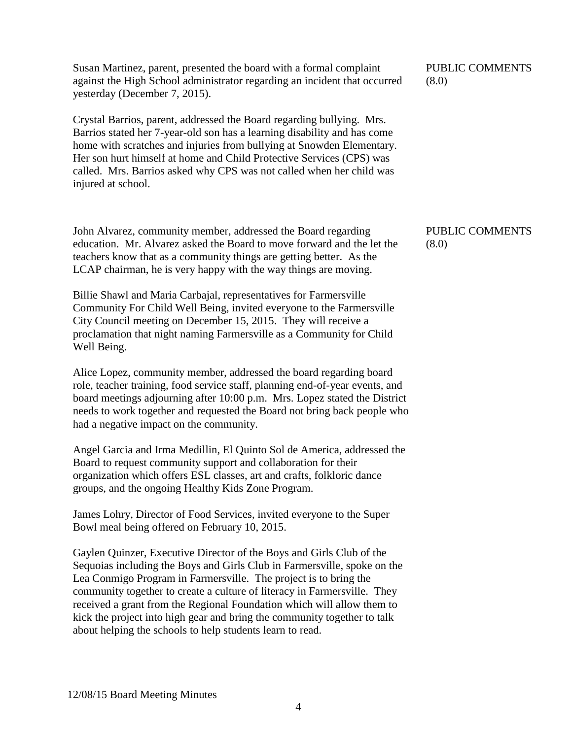Susan Martinez, parent, presented the board with a formal complaint against the High School administrator regarding an incident that occurred yesterday (December 7, 2015).

Crystal Barrios, parent, addressed the Board regarding bullying. Mrs. Barrios stated her 7-year-old son has a learning disability and has come home with scratches and injuries from bullying at Snowden Elementary. Her son hurt himself at home and Child Protective Services (CPS) was called. Mrs. Barrios asked why CPS was not called when her child was injured at school.

John Alvarez, community member, addressed the Board regarding education. Mr. Alvarez asked the Board to move forward and the let the teachers know that as a community things are getting better. As the LCAP chairman, he is very happy with the way things are moving.

Billie Shawl and Maria Carbajal, representatives for Farmersville Community For Child Well Being, invited everyone to the Farmersville City Council meeting on December 15, 2015. They will receive a proclamation that night naming Farmersville as a Community for Child Well Being.

Alice Lopez, community member, addressed the board regarding board role, teacher training, food service staff, planning end-of-year events, and board meetings adjourning after 10:00 p.m. Mrs. Lopez stated the District needs to work together and requested the Board not bring back people who had a negative impact on the community.

Angel Garcia and Irma Medillin, El Quinto Sol de America, addressed the Board to request community support and collaboration for their organization which offers ESL classes, art and crafts, folkloric dance groups, and the ongoing Healthy Kids Zone Program.

James Lohry, Director of Food Services, invited everyone to the Super Bowl meal being offered on February 10, 2015.

Gaylen Quinzer, Executive Director of the Boys and Girls Club of the Sequoias including the Boys and Girls Club in Farmersville, spoke on the Lea Conmigo Program in Farmersville. The project is to bring the community together to create a culture of literacy in Farmersville. They received a grant from the Regional Foundation which will allow them to kick the project into high gear and bring the community together to talk about helping the schools to help students learn to read.

PUBLIC COMMENTS (8.0)

PUBLIC COMMENTS (8.0)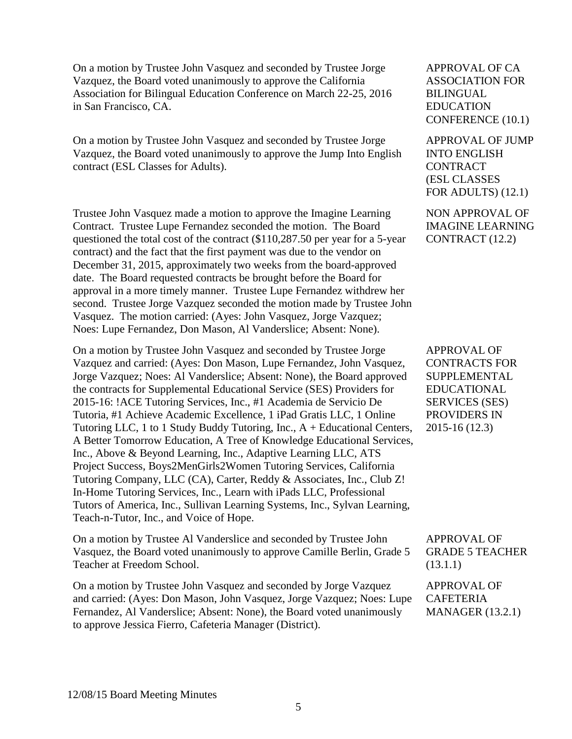On a motion by Trustee John Vasquez and seconded by Trustee Jorge Vazquez, the Board voted unanimously to approve the California Association for Bilingual Education Conference on March 22-25, 2016 in San Francisco, CA.

On a motion by Trustee John Vasquez and seconded by Trustee Jorge Vazquez, the Board voted unanimously to approve the Jump Into English contract (ESL Classes for Adults).

Trustee John Vasquez made a motion to approve the Imagine Learning Contract. Trustee Lupe Fernandez seconded the motion. The Board questioned the total cost of the contract (\$110,287.50 per year for a 5-year contract) and the fact that the first payment was due to the vendor on December 31, 2015, approximately two weeks from the board-approved date. The Board requested contracts be brought before the Board for approval in a more timely manner. Trustee Lupe Fernandez withdrew her second. Trustee Jorge Vazquez seconded the motion made by Trustee John Vasquez. The motion carried: (Ayes: John Vasquez, Jorge Vazquez; Noes: Lupe Fernandez, Don Mason, Al Vanderslice; Absent: None).

On a motion by Trustee John Vasquez and seconded by Trustee Jorge Vazquez and carried: (Ayes: Don Mason, Lupe Fernandez, John Vasquez, Jorge Vazquez; Noes: Al Vanderslice; Absent: None), the Board approved the contracts for Supplemental Educational Service (SES) Providers for 2015-16: !ACE Tutoring Services, Inc., #1 Academia de Servicio De Tutoria, #1 Achieve Academic Excellence, 1 iPad Gratis LLC, 1 Online Tutoring LLC, 1 to 1 Study Buddy Tutoring, Inc., A + Educational Centers, A Better Tomorrow Education, A Tree of Knowledge Educational Services, Inc., Above & Beyond Learning, Inc., Adaptive Learning LLC, ATS Project Success, Boys2MenGirls2Women Tutoring Services, California Tutoring Company, LLC (CA), Carter, Reddy & Associates, Inc., Club Z! In-Home Tutoring Services, Inc., Learn with iPads LLC, Professional Tutors of America, Inc., Sullivan Learning Systems, Inc., Sylvan Learning, Teach-n-Tutor, Inc., and Voice of Hope.

On a motion by Trustee Al Vanderslice and seconded by Trustee John Vasquez, the Board voted unanimously to approve Camille Berlin, Grade 5 Teacher at Freedom School.

On a motion by Trustee John Vasquez and seconded by Jorge Vazquez and carried: (Ayes: Don Mason, John Vasquez, Jorge Vazquez; Noes: Lupe Fernandez, Al Vanderslice; Absent: None), the Board voted unanimously to approve Jessica Fierro, Cafeteria Manager (District).

APPROVAL OF CA ASSOCIATION FOR BILINGUAL EDUCATION CONFERENCE (10.1)

APPROVAL OF JUMP INTO ENGLISH **CONTRACT** (ESL CLASSES FOR ADULTS) (12.1)

NON APPROVAL OF IMAGINE LEARNING CONTRACT (12.2)

APPROVAL OF CONTRACTS FOR SUPPLEMENTAL EDUCATIONAL SERVICES (SES) PROVIDERS IN 2015-16 (12.3)

APPROVAL OF GRADE 5 TEACHER (13.1.1)

APPROVAL OF CAFETERIA MANAGER (13.2.1)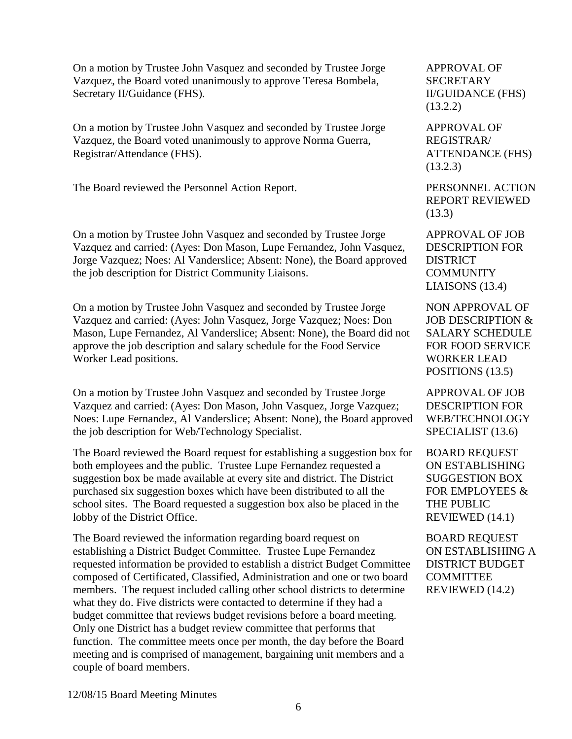On a motion by Trustee John Vasquez and seconded by Trustee Jorge Vazquez, the Board voted unanimously to approve Teresa Bombela, Secretary II/Guidance (FHS).

On a motion by Trustee John Vasquez and seconded by Trustee Jorge Vazquez, the Board voted unanimously to approve Norma Guerra, Registrar/Attendance (FHS).

The Board reviewed the Personnel Action Report. PERSONNEL ACTION

On a motion by Trustee John Vasquez and seconded by Trustee Jorge Vazquez and carried: (Ayes: Don Mason, Lupe Fernandez, John Vasquez, Jorge Vazquez; Noes: Al Vanderslice; Absent: None), the Board approved the job description for District Community Liaisons.

On a motion by Trustee John Vasquez and seconded by Trustee Jorge Vazquez and carried: (Ayes: John Vasquez, Jorge Vazquez; Noes: Don Mason, Lupe Fernandez, Al Vanderslice; Absent: None), the Board did not approve the job description and salary schedule for the Food Service Worker Lead positions.

On a motion by Trustee John Vasquez and seconded by Trustee Jorge Vazquez and carried: (Ayes: Don Mason, John Vasquez, Jorge Vazquez; Noes: Lupe Fernandez, Al Vanderslice; Absent: None), the Board approved the job description for Web/Technology Specialist.

The Board reviewed the Board request for establishing a suggestion box for both employees and the public. Trustee Lupe Fernandez requested a suggestion box be made available at every site and district. The District purchased six suggestion boxes which have been distributed to all the school sites. The Board requested a suggestion box also be placed in the lobby of the District Office.

The Board reviewed the information regarding board request on establishing a District Budget Committee. Trustee Lupe Fernandez requested information be provided to establish a district Budget Committee composed of Certificated, Classified, Administration and one or two board members. The request included calling other school districts to determine what they do. Five districts were contacted to determine if they had a budget committee that reviews budget revisions before a board meeting. Only one District has a budget review committee that performs that function. The committee meets once per month, the day before the Board meeting and is comprised of management, bargaining unit members and a couple of board members.

APPROVAL OF **SECRETARY** II/GUIDANCE (FHS) (13.2.2)

APPROVAL OF REGISTRAR/ ATTENDANCE (FHS) (13.2.3)

REPORT REVIEWED (13.3)

APPROVAL OF JOB DESCRIPTION FOR DISTRICT **COMMUNITY** LIAISONS (13.4)

NON APPROVAL OF JOB DESCRIPTION & SALARY SCHEDULE FOR FOOD SERVICE WORKER LEAD POSITIONS (13.5)

APPROVAL OF JOB DESCRIPTION FOR WEB/TECHNOLOGY SPECIALIST (13.6)

BOARD REQUEST ON ESTABLISHING SUGGESTION BOX FOR EMPLOYEES & THE PUBLIC REVIEWED (14.1)

BOARD REQUEST ON ESTABLISHING A DISTRICT BUDGET COMMITTEE REVIEWED (14.2)

12/08/15 Board Meeting Minutes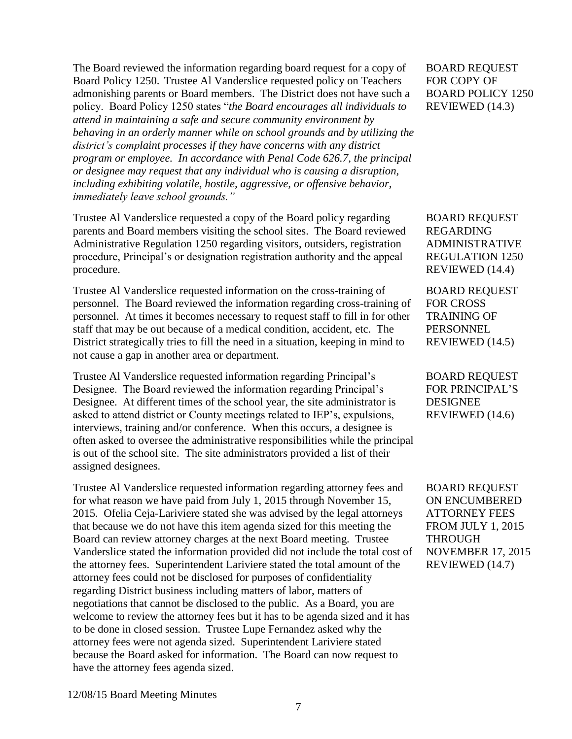The Board reviewed the information regarding board request for a copy of Board Policy 1250. Trustee Al Vanderslice requested policy on Teachers admonishing parents or Board members. The District does not have such a policy. Board Policy 1250 states "*the Board encourages all individuals to attend in maintaining a safe and secure community environment by behaving in an orderly manner while on school grounds and by utilizing the district's complaint processes if they have concerns with any district program or employee. In accordance with Penal Code 626.7, the principal or designee may request that any individual who is causing a disruption, including exhibiting volatile, hostile, aggressive, or offensive behavior, immediately leave school grounds."*

Trustee Al Vanderslice requested a copy of the Board policy regarding parents and Board members visiting the school sites. The Board reviewed Administrative Regulation 1250 regarding visitors, outsiders, registration procedure, Principal's or designation registration authority and the appeal procedure.

Trustee Al Vanderslice requested information on the cross-training of personnel. The Board reviewed the information regarding cross-training of personnel. At times it becomes necessary to request staff to fill in for other staff that may be out because of a medical condition, accident, etc. The District strategically tries to fill the need in a situation, keeping in mind to not cause a gap in another area or department.

Trustee Al Vanderslice requested information regarding Principal's Designee. The Board reviewed the information regarding Principal's Designee. At different times of the school year, the site administrator is asked to attend district or County meetings related to IEP's, expulsions, interviews, training and/or conference. When this occurs, a designee is often asked to oversee the administrative responsibilities while the principal is out of the school site. The site administrators provided a list of their assigned designees.

Trustee Al Vanderslice requested information regarding attorney fees and for what reason we have paid from July 1, 2015 through November 15, 2015. Ofelia Ceja-Lariviere stated she was advised by the legal attorneys that because we do not have this item agenda sized for this meeting the Board can review attorney charges at the next Board meeting. Trustee Vanderslice stated the information provided did not include the total cost of the attorney fees. Superintendent Lariviere stated the total amount of the attorney fees could not be disclosed for purposes of confidentiality regarding District business including matters of labor, matters of negotiations that cannot be disclosed to the public. As a Board, you are welcome to review the attorney fees but it has to be agenda sized and it has to be done in closed session. Trustee Lupe Fernandez asked why the attorney fees were not agenda sized. Superintendent Lariviere stated because the Board asked for information. The Board can now request to have the attorney fees agenda sized.

BOARD REQUEST FOR COPY OF BOARD POLICY 1250 REVIEWED (14.3)

BOARD REQUEST REGARDING ADMINISTRATIVE REGULATION 1250 REVIEWED (14.4)

BOARD REQUEST FOR CROSS TRAINING OF PERSONNEL REVIEWED (14.5)

BOARD REQUEST FOR PRINCIPAL'S DESIGNEE REVIEWED (14.6)

BOARD REQUEST ON ENCUMBERED ATTORNEY FEES FROM JULY 1, 2015 THROUGH NOVEMBER 17, 2015 REVIEWED (14.7)

12/08/15 Board Meeting Minutes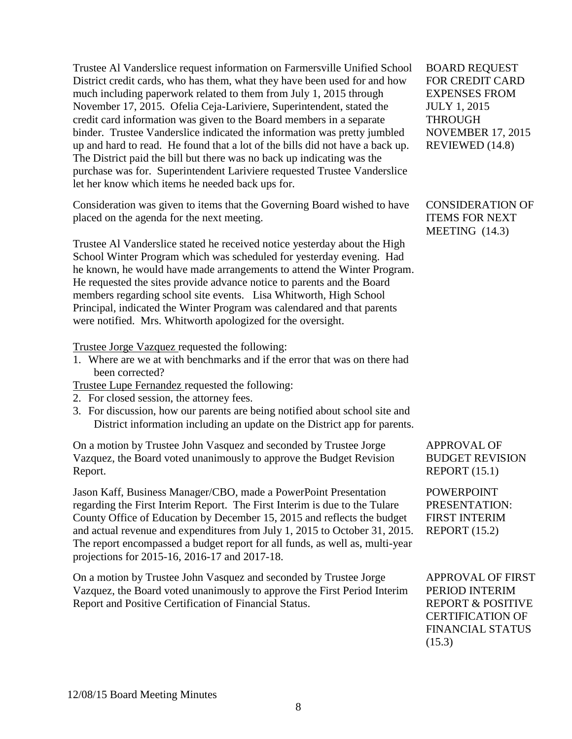Trustee Al Vanderslice request information on Farmersville Unified School District credit cards, who has them, what they have been used for and how much including paperwork related to them from July 1, 2015 through November 17, 2015. Ofelia Ceja-Lariviere, Superintendent, stated the credit card information was given to the Board members in a separate binder. Trustee Vanderslice indicated the information was pretty jumbled up and hard to read. He found that a lot of the bills did not have a back up. The District paid the bill but there was no back up indicating was the purchase was for. Superintendent Lariviere requested Trustee Vanderslice let her know which items he needed back ups for.

Consideration was given to items that the Governing Board wished to have placed on the agenda for the next meeting.

Trustee Al Vanderslice stated he received notice yesterday about the High School Winter Program which was scheduled for yesterday evening. Had he known, he would have made arrangements to attend the Winter Program. He requested the sites provide advance notice to parents and the Board members regarding school site events. Lisa Whitworth, High School Principal, indicated the Winter Program was calendared and that parents were notified. Mrs. Whitworth apologized for the oversight.

Trustee Jorge Vazquez requested the following:

1. Where are we at with benchmarks and if the error that was on there had been corrected?

Trustee Lupe Fernandez requested the following:

- 2. For closed session, the attorney fees.
- 3. For discussion, how our parents are being notified about school site and District information including an update on the District app for parents.

On a motion by Trustee John Vasquez and seconded by Trustee Jorge Vazquez, the Board voted unanimously to approve the Budget Revision Report.

Jason Kaff, Business Manager/CBO, made a PowerPoint Presentation regarding the First Interim Report. The First Interim is due to the Tulare County Office of Education by December 15, 2015 and reflects the budget and actual revenue and expenditures from July 1, 2015 to October 31, 2015. The report encompassed a budget report for all funds, as well as, multi-year projections for 2015-16, 2016-17 and 2017-18.

On a motion by Trustee John Vasquez and seconded by Trustee Jorge Vazquez, the Board voted unanimously to approve the First Period Interim Report and Positive Certification of Financial Status.

BOARD REQUEST FOR CREDIT CARD EXPENSES FROM JULY 1, 2015 THROUGH NOVEMBER 17, 2015 REVIEWED (14.8)

CONSIDERATION OF ITEMS FOR NEXT MEETING (14.3)

APPROVAL OF BUDGET REVISION REPORT (15.1)

POWERPOINT PRESENTATION: FIRST INTERIM REPORT (15.2)

APPROVAL OF FIRST PERIOD INTERIM REPORT & POSITIVE CERTIFICATION OF FINANCIAL STATUS (15.3)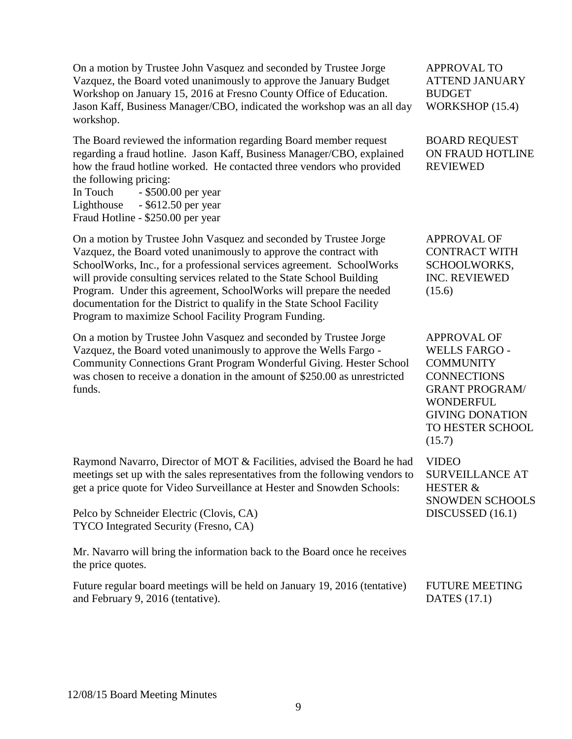On a motion by Trustee John Vasquez and seconded by Trustee Jorge Vazquez, the Board voted unanimously to approve the January Budget Workshop on January 15, 2016 at Fresno County Office of Education. Jason Kaff, Business Manager/CBO, indicated the workshop was an all day workshop.

The Board reviewed the information regarding Board member request regarding a fraud hotline. Jason Kaff, Business Manager/CBO, explained how the fraud hotline worked. He contacted three vendors who provided the following pricing:

In Touch - \$500.00 per year Lighthouse - \$612.50 per year Fraud Hotline - \$250.00 per year

On a motion by Trustee John Vasquez and seconded by Trustee Jorge Vazquez, the Board voted unanimously to approve the contract with SchoolWorks, Inc., for a professional services agreement. SchoolWorks will provide consulting services related to the State School Building Program. Under this agreement, SchoolWorks will prepare the needed documentation for the District to qualify in the State School Facility Program to maximize School Facility Program Funding.

On a motion by Trustee John Vasquez and seconded by Trustee Jorge Vazquez, the Board voted unanimously to approve the Wells Fargo - Community Connections Grant Program Wonderful Giving. Hester School was chosen to receive a donation in the amount of \$250.00 as unrestricted funds.

Raymond Navarro, Director of MOT & Facilities, advised the Board he had meetings set up with the sales representatives from the following vendors to get a price quote for Video Surveillance at Hester and Snowden Schools:

Pelco by Schneider Electric (Clovis, CA) TYCO Integrated Security (Fresno, CA)

Mr. Navarro will bring the information back to the Board once he receives the price quotes.

Future regular board meetings will be held on January 19, 2016 (tentative) and February 9, 2016 (tentative).

APPROVAL TO ATTEND JANUARY BUDGET WORKSHOP (15.4)

BOARD REQUEST ON FRAUD HOTLINE REVIEWED

APPROVAL OF CONTRACT WITH SCHOOLWORKS, INC. REVIEWED (15.6)

APPROVAL OF WELLS FARGO - **COMMUNITY CONNECTIONS** GRANT PROGRAM/ WONDERFUL GIVING DONATION TO HESTER SCHOOL  $(15.7)$ 

VIDEO SURVEILLANCE AT HESTER & SNOWDEN SCHOOLS DISCUSSED (16.1)

FUTURE MEETING DATES (17.1)